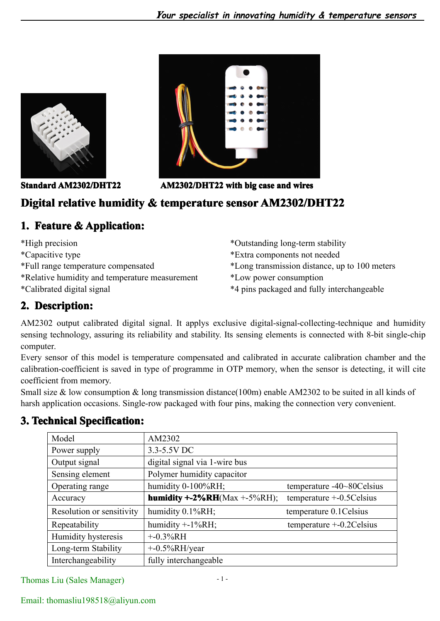



**Standard AM2302/DHT22 AM2302/DHT22 with big case and wires**

## Digital relative humidity & temperature sensor AM2302/DHT22

## **1. Feature & Application:**

\*High precision \*Capacitive type \*Full range temperature compensated \*Relative humidity and temperature measurement \*Calibrated digital signal

\*Outstanding long-term stability \*Extra components not needed \*Long transmission distance, up to 100 meters \*Low power consumption \*4 pins packaged and fully interchangeable

# **2. Description: Description:**

AM2302 output calibrated digital signal. It applys exclusive digital-signal-collecting-technique and humidity sensing technology, assuring its reliability and stability. Its sensing elements is connected with 8-bit single-chip computer.

Every sensor of this model is temperature compensated and calibrated in accurate calibration chamber and the calibration-coefficient is saved in type of programme in OTP memory, when the sensor is detecting, it will cite coefficient from memory.

Small size & low consumption & long transmission distance(100m) enable AM2302 to be suited in all kinds of harsh application occasions. Single-row packaged with four pins, making the connection very convenient.

| Model                     | AM2302                               |                              |
|---------------------------|--------------------------------------|------------------------------|
| Power supply              | 3.3-5.5V DC                          |                              |
| Output signal             | digital signal via 1-wire bus        |                              |
| Sensing element           | Polymer humidity capacitor           |                              |
| Operating range           | humidity 0-100%RH;                   | temperature -40~80Celsius    |
| Accuracy                  | <b>humidity +-2%RH</b> (Max +-5%RH); | temperature $+$ -0.5 Celsius |
| Resolution or sensitivity | humidity 0.1%RH;                     | temperature 0.1 Celsius      |
| Repeatability             | humidity $+$ -1%RH;                  | temperature $+$ -0.2 Celsius |
| Humidity hysteresis       | $+ -0.3\%RH$                         |                              |
| Long-term Stability       | $+$ -0.5%RH/year                     |                              |
| Interchangeability        | fully interchangeable                |                              |

## **3. Technical Technical TechnicalSpecification: Specification: Specification:**

Thomas Liu (Sales Manager)

### Email: [thomasliu198518@a](mailto:thomasliu198518@yahoo.com.cn)liyun.com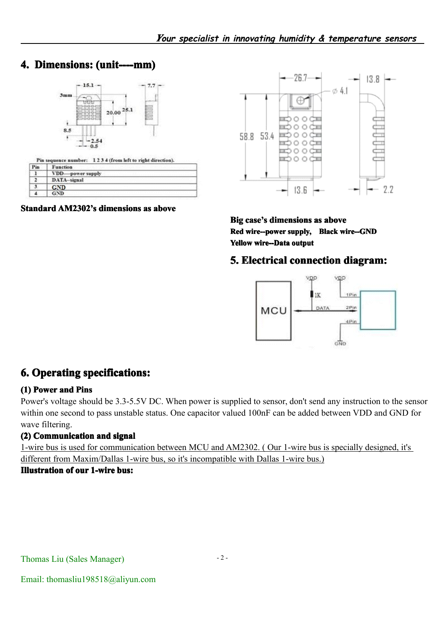## **4. Dimensions:** (unit----mm)



|     | Pin sequence number: 1234 (from left to right direction). |
|-----|-----------------------------------------------------------|
| Pin | Function                                                  |
|     | VDD-power supply                                          |
|     | DATA-signal                                               |
|     | . ND                                                      |
|     |                                                           |

**Standard AM2302's dimensions as above** 



**Big** case's dimensions as above **Red wire--power wire--powersupply, supply, Black wire--GND wire--GND wire--GND Yellow wire--Data output**

## **5. Electrical connection diagram:**



## **6. Operating specifications:**

### **(1) Power and Pins**

Power's voltage should be 3.3-5.5V DC. When power is supplied to sensor, don't sendany instruction to the sensor within one second to pass unstable status. One capacitor valued 100nF can be added between VDD and GND for wave filtering.

### **(2) Communication CommunicationCommunication and signal**

1-wire bus is used for communication between MCU and AM2302. ( Our 1-wire bus is specially designed, it's different from Maxim/Dallas 1-wire bus, so it's incompatible with Dallas 1-wire bus.) **Illustration Illustration Illustrationof our 1-wire bus:**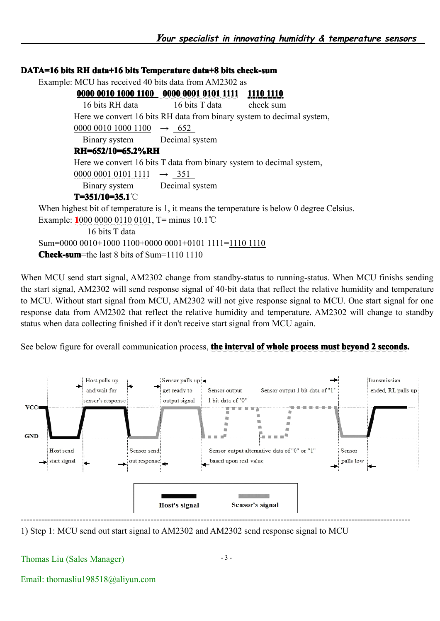### **DATA=16** bits RH data+16 bits Temperature data+8 bits check-sum Example: MCU has received 40 bits data from AM2302 as **0000 0010 1000 1100 0000 0001 0101 1111 1110 1110** 16 bits RH data 16 bits T data check sum Here we convert 16 bits RH data from binary system to decimal system, 0000 0010 1000 1100  $\rightarrow$  652 Binary system Decimal system **RH=652/10=65.2%RH RH=652/10=65.2%RHRH=652/10=65.2%RH** Here we convert 16 bits T data from binary system to decimal system,  $000000010101111 \rightarrow 351$ Binary system Decimal system **T=351/10=35.1 T=351/10=35.1**℃ When highest bit of temperature is 1, it means the temperature is below 0 degree Celsius. Example: **1**000 0000 0110 0101, T= minus 10.1℃ 16 bits T data Sum=0000 0010+1000 1100+0000 0001+0101 1111=1110 1110 **Check-sum**=the last 8 bits of Sum=1110 1110

When MCU send start signal, AM2302 change from standby-status to running-status. When MCU finishs sending the start signal, AM2302 will send response signal of 40-bit data that reflect the relative humidity and temperature to MCU. Without start signal from MCU, AM2302 will not give response signal to MCU. One start signal for one response data from AM2302 that reflect the relative humidity and temperature. AM2302 will change to standby status when data collecting finished if it don't receive start signal from MCU again.

See below figure for overall communication process, the interval of whole process must beyond 2 seconds.



1) Step 1: MCU send out start signal to AM2302 and AM2302 send response signal to MCU

#### Thomas Liu (Sales Manager)

Email: [thomasliu198518@a](mailto:thomasliu198518@yahoo.com.cn)liyun.com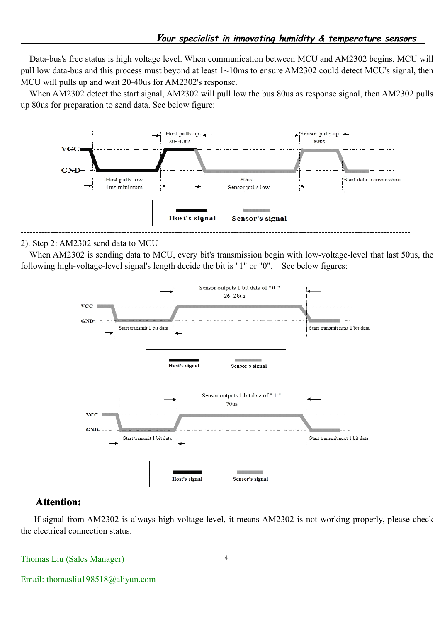Data-bus's free status is high voltage level. When communication between MCU and AM2302 begins, MCU will pull low data-bus and this process must beyond at least 1~10ms to ensure AM2302 could detect MCU's signal, then MCU will pulls up and wait 20-40us for AM2302's response.

When AM2302 detect the start signal, AM2302 will pull low the bus 80us as response signal, then AM2302 pulls up 80us for preparation to send data. See below figure:



#### 2). Step 2: AM2302 send data to MCU

When AM2302 is sending data to MCU, every bit's transmission begin with low-voltage-level that last 50us, the following high-voltage-level signal's length decide the bit is "1" or "0". See below figures:



#### $Attention:$

If signal from AM2302 is always high-voltage-level, it means AM2302 is not working properly, please check the electrical connection status.

Thomas Liu (Sales Manager)

Email: [thomasliu198518@a](mailto:thomasliu198518@yahoo.com.cn)liyun.com